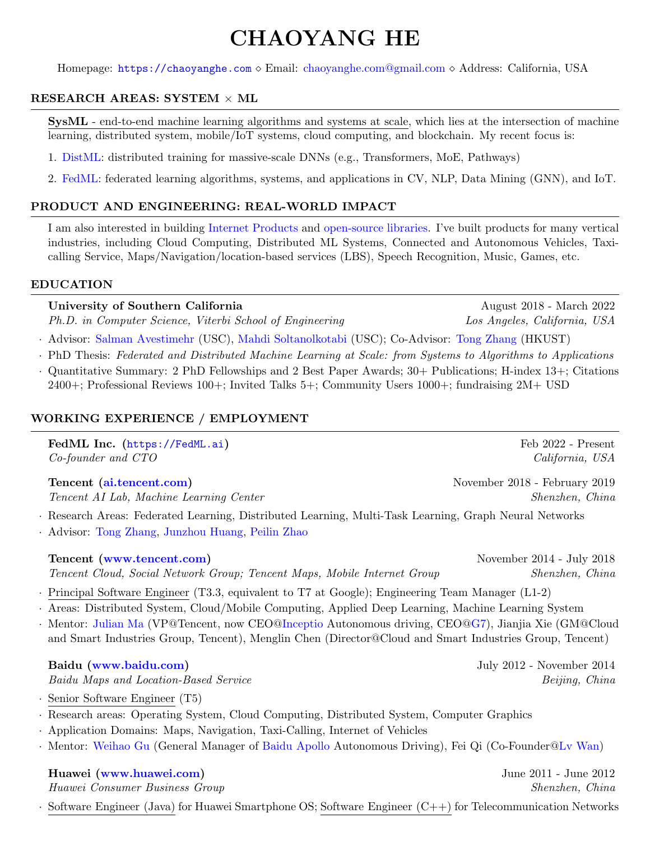# CHAOYANG HE

Homepage: <https://chaoyanghe.com> ◇ Email: [chaoyanghe.com@gmail.com](mailto:chaoyanghe.com@gmail.com) ◇ Address: California, USA

# RESEARCH AREAS: SYSTEM × ML

SysML - end-to-end machine learning algorithms and systems at scale, which lies at the intersection of machine learning, distributed system, mobile/IoT systems, cloud computing, and blockchain. My recent focus is:

- 1. [DistML:](https://distml.ai/) distributed training for massive-scale DNNs (e.g., Transformers, MoE, Pathways)
- 2. [FedML:](https://fedml.ai/) federated learning algorithms, systems, and applications in CV, NLP, Data Mining (GNN), and IoT.

# PRODUCT AND ENGINEERING: REAL-WORLD IMPACT

I am also interested in building [Internet Products](https://chaoyanghe.com/industrial-experience/) and [open-source libraries.](https://chaoyanghe.com/open-source/) I've built products for many vertical industries, including Cloud Computing, Distributed ML Systems, Connected and Autonomous Vehicles, Taxicalling Service, Maps/Navigation/location-based services (LBS), Speech Recognition, Music, Games, etc.

#### EDUCATION

University of Southern California and August 2018 - March 2022 Ph.D. in Computer Science, Viterbi School of Engineering Los Angeles, California, USA

· Advisor: [Salman Avestimehr](https://www.avestimehr.com/) (USC), [Mahdi Soltanolkotabi](https://viterbi-web.usc.edu/~soltanol/) (USC); Co-Advisor: [Tong Zhang](http://tongzhang-ml.org) (HKUST)

- · PhD Thesis: Federated and Distributed Machine Learning at Scale: from Systems to Algorithms to Applications
- · Quantitative Summary: 2 PhD Fellowships and 2 Best Paper Awards; 30+ Publications; H-index 13+; Citations 2400+; Professional Reviews 100+; Invited Talks 5+; Community Users 1000+; fundraising 2M+ USD

# WORKING EXPERIENCE / EMPLOYMENT

FedML Inc. (<https://FedML.ai>) Feb 2022 - Present Co-founder and CTO California, USA

Tencent [\(ai.tencent.com\)](http://ai.tencent.com) November 2018 - February 2019

· Research Areas: Federated Learning, Distributed Learning, Multi-Task Learning, Graph Neural Networks

· Advisor: [Tong Zhang,](http://tongzhang-ml.org) [Junzhou Huang,](http://ranger.uta.edu/~huang) [Peilin Zhao](http://peilinzhao.weebly.com)

Tencent [\(www.tencent.com\)](http://www.tencent.com) November 2014 - July 2018 Tencent Cloud, Social Network Group; Tencent Maps, Mobile Internet Group Shenzhen, China

- · Principal Software Engineer (T3.3, equivalent to T7 at Google); Engineering Team Manager (L1-2)
- · Areas: Distributed System, Cloud/Mobile Computing, Applied Deep Learning, Machine Learning System
- · Mentor: [Julian Ma](https://www.google.com/search?ei=rKanXOf3L_Xv9AO44begCw&q=%E8%85%BE%E8%AE%AF+julian+ma&oq=%E8%85%BE%E8%AE%AF+julian+ma&gs_l=psy-ab.3...27148.27455..27937...0.0..0.70.193.3......0....1..gws-wiz.......0i71.wTwOPpnBftg) (VP@Tencent, now CEO[@Inceptio](https://www.linkedin.com/company/inceptio-technology/) Autonomous driving, CEO[@G7\)](http://www.g7.com.cn/), Jianjia Xie (GM@Cloud and Smart Industries Group, Tencent), Menglin Chen (Director@Cloud and Smart Industries Group, Tencent)

Baidu Maps and Location-Based Service Service Beijing, China

- · Senior Software Engineer (T5)
- · Research areas: Operating System, Cloud Computing, Distributed System, Computer Graphics
- · Application Domains: Maps, Navigation, Taxi-Calling, Internet of Vehicles
- · Mentor: [Weihao Gu](https://www.google.com/search?ei=IaenXL_UN8HA0PEP1L2loAg&q=%E7%99%BE%E5%BA%A6+%E9%A1%BE%E7%BB%B4%E7%81%8F&oq=%E7%99%BE%E5%BA%A6+%E9%A1%BE%E7%BB%B4%E7%81%8F&gs_l=psy-ab.3..0i30.4998.8790..8965...3.0..1.310.2483.6j4j5j1......0....1..gws-wiz.......0i71j0i12j0j0i67j0i8i30j0i13i30.C2NtjHGVl5Q) (General Manager of [Baidu Apollo](http://apollo.auto/) Autonomous Driving), Fei Qi (Co-Founder[@Lv Wan\)](http://www.lvwan.com/)

Huawei [\(www.huawei.com\)](http://www.huawei.com) June 2011 - June 2012 Huawei Consumer Business Group Shenzhen, China Software Engineer (Java) for Huawei Smartphone OS; Software Engineer  $(C++)$  for Telecommunication Networks

Tencent AI Lab, Machine Learning Center Shenzhen, China

Baidu [\(www.baidu.com\)](http://www.baidu.com) July 2012 - November 2014